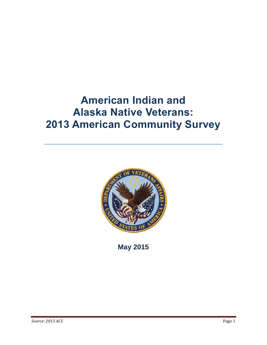# **American Indian and Alaska Native Veterans: 2013 American Community Survey**



**May 2015**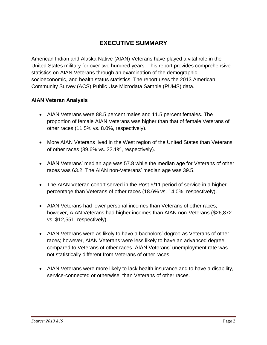# **EXECUTIVE SUMMARY**

American Indian and Alaska Native (AIAN) Veterans have played a vital role in the United States military for over two hundred years. This report provides comprehensive statistics on AIAN Veterans through an examination of the demographic, socioeconomic, and health status statistics. The report uses the 2013 American Community Survey (ACS) Public Use Microdata Sample (PUMS) data.

#### **AIAN Veteran Analysis**

- AIAN Veterans were 88.5 percent males and 11.5 percent females. The proportion of female AIAN Veterans was higher than that of female Veterans of other races (11.5% vs. 8.0%, respectively).
- More AIAN Veterans lived in the West region of the United States than Veterans of other races (39.6% vs. 22.1%, respectively).
- AIAN Veterans' median age was 57.8 while the median age for Veterans of other races was 63.2. The AIAN non-Veterans' median age was 39.5.
- The AIAN Veteran cohort served in the Post-9/11 period of service in a higher percentage than Veterans of other races (18.6% vs. 14.0%, respectively).
- AIAN Veterans had lower personal incomes than Veterans of other races; however, AIAN Veterans had higher incomes than AIAN non-Veterans (\$26,872 vs. \$12,551, respectively).
- AIAN Veterans were as likely to have a bachelors' degree as Veterans of other races; however, AIAN Veterans were less likely to have an advanced degree compared to Veterans of other races. AIAN Veterans' unemployment rate was not statistically different from Veterans of other races.
- AIAN Veterans were more likely to lack health insurance and to have a disability, service-connected or otherwise, than Veterans of other races.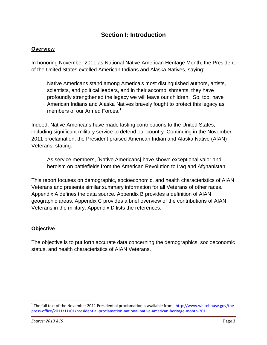# **Section I: Introduction**

#### **Overview**

In honoring November 2011 as National Native American Heritage Month, the President of the United States extolled American Indians and Alaska Natives, saying:

Native Americans stand among America's most distinguished authors, artists, scientists, and political leaders, and in their accomplishments, they have profoundly strengthened the legacy we will leave our children. So, too, have American Indians and Alaska Natives bravely fought to protect this legacy as members of our Armed Forces.<sup>1</sup>

Indeed, Native Americans have made lasting contributions to the United States, including significant military service to defend our country. Continuing in the November 2011 proclamation, the President praised American Indian and Alaska Native (AIAN) Veterans, stating:

As service members, [Native Americans] have shown exceptional valor and heroism on battlefields from the American Revolution to Iraq and Afghanistan.

This report focuses on demographic, socioeconomic, and health characteristics of AIAN Veterans and presents similar summary information for all Veterans of other races. Appendix A defines the data source. Appendix B provides a definition of AIAN geographic areas. Appendix C provides a brief overview of the contributions of AIAN Veterans in the military. Appendix D lists the references.

#### **Objective**

The objective is to put forth accurate data concerning the demographics, socioeconomic status, and health characteristics of AIAN Veterans.

l

<sup>&</sup>lt;sup>1</sup> The full text of the November 2011 Presidential proclamation is available from: [http://www.whitehouse.gov/the](http://www.whitehouse.gov/the-press-office/2011/11/01/presidential-proclamation-national-native-american-heritage-month-2011)[press-office/2011/11/01/presidential-proclamation-national-native-american-heritage-month-2011.](http://www.whitehouse.gov/the-press-office/2011/11/01/presidential-proclamation-national-native-american-heritage-month-2011)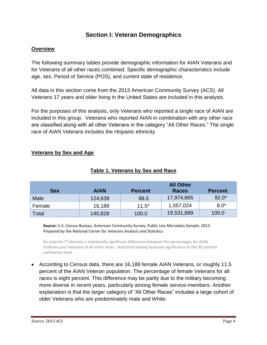# **Section I: Veteran Demographics**

#### **Overview**

The following summary tables provide demographic information for AIAN Veterans and for Veterans of all other races combined. Specific demographic characteristics include age, sex, Period of Service (POS), and current state of residence.

All data in this section come from the 2013 American Community Survey (ACS). All Veterans 17 years and older living in the United States are included in this analysis.

For the purposes of this analysis, only Veterans who reported a single race of AIAN are included in this group. Veterans who reported AIAN in combination with any other race are classified along with all other Veterans in the category "All Other Races." The single race of AIAN Veterans includes the Hispanic ethnicity.

|--|

|            |             | <b>All Other</b> |              |                |  |
|------------|-------------|------------------|--------------|----------------|--|
| <b>Sex</b> | <b>AIAN</b> | <b>Percent</b>   | <b>Races</b> | <b>Percent</b> |  |
| Male       | 124,639     | 88.5             | 17,974,865   | $92.0*$        |  |
| Female     | 16,189      | $11.5*$          | 1,557,024    | $8.0*$         |  |
| Total      | 140,828     | 100.0            | 19,531,889   | 100.0          |  |

## **Table 1. Veterans by Sex and Race**

**Source:** U.S. Census Bureau, American Community Survey, Public Use Microdata Sample, 2013. Prepared by the National Center for Veterans Analysis and Statistics

An asterisk (\*) denotes a statistically significant difference between the percentages for AIAN Veterans and Veterans of all other races. Statistical testing assessed significance at the 90 percent confidence level.

 According to Census data, there are 16,189 female AIAN Veterans, or roughly 11.5 percent of the AIAN Veteran population. The percentage of female Veterans for all races is eight percent. This difference may be partly due to the military becoming more diverse in recent years, particularly among female service-members. Another explanation is that the larger category of "All Other Races" includes a large cohort of older Veterans who are predominately male and White.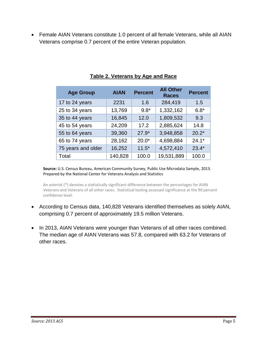Female AIAN Veterans constitute 1.0 percent of all female Veterans, while all AIAN Veterans comprise 0.7 percent of the entire Veteran population.

| <b>Age Group</b>   | <b>AIAN</b> | <b>Percent</b> | <b>All Other</b><br><b>Races</b> | <b>Percent</b> |
|--------------------|-------------|----------------|----------------------------------|----------------|
| 17 to 24 years     | 2231        | 1.6            | 284,419                          | 1.5            |
| 25 to 34 years     | 13,769      | $9.8*$         | 1,332,162                        | $6.8*$         |
| 35 to 44 years     | 16,845      | 12.0           | 1,809,532                        | 9.3            |
| 45 to 54 years     | 24,209      | 17.2           | 2,885,624                        | 14.8           |
| 55 to 64 years     | 39,360      | $27.9*$        | 3,948,858                        | $20.2*$        |
| 65 to 74 years     | 28,162      | $20.0*$        | 4,698,884                        | $24.1*$        |
| 75 years and older | 16,252      | $11.5*$        | 4,572,410                        | $23.4*$        |
| Total              | 140,828     | 100.0          | 19,531,889                       | 100.0          |

### **Table 2. Veterans by Age and Race**

**Source:** U.S. Census Bureau, American Community Survey, Public Use Microdata Sample, 2013. Prepared by the National Center for Veterans Analysis and Statistics

An asterisk (\*) denotes a statistically significant difference between the percentages for AIAN Veterans and Veterans of all other races. Statistical testing assessed significance at the 90 percent confidence level.

- According to Census data, 140,828 Veterans identified themselves as solely AIAN, comprising 0.7 percent of approximately 19.5 million Veterans.
- In 2013, AIAN Veterans were younger than Veterans of all other races combined. The median age of AIAN Veterans was 57.8, compared with 63.2 for Veterans of other races.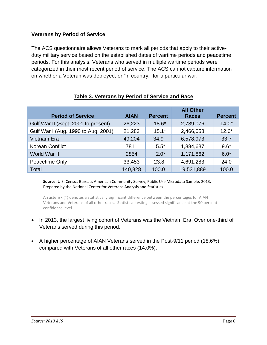#### **Veterans by Period of Service**

The ACS questionnaire allows Veterans to mark all periods that apply to their activeduty military service based on the established dates of wartime periods and peacetime periods. For this analysis, Veterans who served in multiple wartime periods were categorized in their most recent period of service. The ACS cannot capture information on whether a Veteran was deployed, or "in country," for a particular war.

| <b>Period of Service</b>            | <b>AIAN</b> | <b>Percent</b> | <b>All Other</b><br><b>Races</b> | <b>Percent</b> |
|-------------------------------------|-------------|----------------|----------------------------------|----------------|
| Gulf War II (Sept. 2001 to present) | 26,223      | $18.6*$        | 2,739,076                        | $14.0*$        |
| Gulf War I (Aug. 1990 to Aug. 2001) | 21,283      | $15.1*$        | 2,466,058                        | $12.6*$        |
| Vietnam Era                         | 49,204      | 34.9           | 6,578,973                        | 33.7           |
| <b>Korean Conflict</b>              | 7811        | $5.5*$         | 1,884,637                        | $9.6*$         |
| World War II                        | 2854        | $2.0*$         | 1,171,862                        | $6.0*$         |
| Peacetime Only                      | 33,453      | 23.8           | 4,691,283                        | 24.0           |
| Total                               | 140,828     | 100.0          | 19,531,889                       | 100.0          |

#### **Table 3. Veterans by Period of Service and Race**

**Source:** U.S. Census Bureau, American Community Survey, Public Use Microdata Sample, 2013. Prepared by the National Center for Veterans Analysis and Statistics

An asterisk (\*) denotes a statistically significant difference between the percentages for AIAN Veterans and Veterans of all other races. Statistical testing assessed significance at the 90 percent confidence level.

- In 2013, the largest living cohort of Veterans was the Vietnam Era. Over one-third of Veterans served during this period.
- A higher percentage of AIAN Veterans served in the Post-9/11 period (18.6%), compared with Veterans of all other races (14.0%).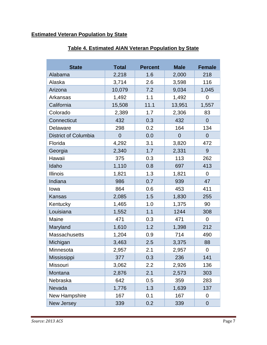# **Estimated Veteran Population by State**

| <b>State</b>                | <b>Total</b>   | <b>Percent</b> | <b>Male</b>    | <b>Female</b>  |
|-----------------------------|----------------|----------------|----------------|----------------|
| Alabama                     | 2,218          | 1.6            | 2,000          | 218            |
| Alaska                      | 3,714          | 2.6            | 3,598          | 116            |
| Arizona                     | 10,079         | 7.2            | 9,034          | 1,045          |
| Arkansas                    | 1,492          | 1.1            | 1,492          | $\overline{0}$ |
| California                  | 15,508         | 11.1           | 13,951         | 1,557          |
| Colorado                    | 2,389          | 1.7            | 2,306          | 83             |
| Connecticut                 | 432            | 0.3            | 432            | $\overline{0}$ |
| Delaware                    | 298            | 0.2            | 164            | 134            |
| <b>District of Columbia</b> | $\overline{0}$ | 0.0            | $\overline{0}$ | $\overline{0}$ |
| Florida                     | 4,292          | 3.1            | 3,820          | 472            |
| Georgia                     | 2,340          | 1.7            | 2,331          | 9              |
| Hawaii                      | 375            | 0.3            | 113            | 262            |
| Idaho                       | 1,110          | 0.8            | 697            | 413            |
| <b>Illinois</b>             | 1,821          | 1.3            | 1,821          | $\overline{0}$ |
| Indiana                     | 986            | 0.7            | 939            | 47             |
| lowa                        | 864            | 0.6            | 453            | 411            |
| <b>Kansas</b>               | 2,085          | 1.5            | 1,830          | 255            |
| Kentucky                    | 1,465          | 1.0            | 1,375          | 90             |
| Louisiana                   | 1,552          | 1.1            | 1244           | 308            |
| Maine                       | 471            | 0.3            | 471            | $\overline{0}$ |
| Maryland                    | 1,610          | 1.2            | 1,398          | 212            |
| <b>Massachusetts</b>        | 1,204          | 0.9            | 714            | 490            |
| Michigan                    | 3,463          | 2.5            | 3,375          | 88             |
| Minnesota                   | 2,957          | 2.1            | 2,957          | 0              |
| Mississippi                 | 377            | 0.3            | 236            | 141            |
| Missouri                    | 3,062          | 2.2            | 2,926          | 136            |
| Montana                     | 2,876          | 2.1            | 2,573          | 303            |
| Nebraska                    | 642            | 0.5            | 359            | 283            |
| Nevada                      | 1,776          | 1.3            | 1,639          | 137            |
| New Hampshire               | 167            | 0.1            | 167            | 0              |
| New Jersey                  | 339            | 0.2            | 339            | $\overline{0}$ |

#### **Table 4. Estimated AIAN Veteran Population by State**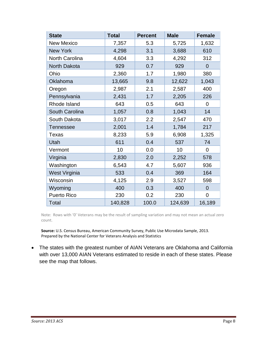| <b>State</b>         | <b>Total</b> | <b>Percent</b> | <b>Male</b> | <b>Female</b>  |
|----------------------|--------------|----------------|-------------|----------------|
| <b>New Mexico</b>    | 7,357        | 5.3            | 5,725       | 1,632          |
| <b>New York</b>      | 4,298        | 3.1            | 3,688       | 610            |
| North Carolina       | 4,604        | 3.3            | 4,292       | 312            |
| North Dakota         | 929          | 0.7            | 929         | 0              |
| Ohio                 | 2,360        | 1.7            | 1,980       | 380            |
| Oklahoma             | 13,665       | 9.8            | 12,622      | 1,043          |
| Oregon               | 2,987        | 2.1            | 2,587       | 400            |
| Pennsylvania         | 2,431        | 1.7            | 2,205       | 226            |
| Rhode Island         | 643          | 0.5            | 643         | 0              |
| South Carolina       | 1,057        | 0.8            | 1,043       | 14             |
| South Dakota         | 3,017        | 2.2            | 2,547       | 470            |
| <b>Tennessee</b>     | 2,001        | 1.4            | 1,784       | 217            |
| Texas                | 8,233        | 5.9            | 6,908       | 1,325          |
| Utah                 | 611          | 0.4            | 537         | 74             |
| Vermont              | 10           | 0.0            | 10          | $\overline{0}$ |
| Virginia             | 2,830        | 2.0            | 2,252       | 578            |
| Washington           | 6,543        | 4.7            | 5,607       | 936            |
| <b>West Virginia</b> | 533          | 0.4            | 369         | 164            |
| Wisconsin            | 4,125        | 2.9            | 3,527       | 598            |
| Wyoming              | 400          | 0.3            | 400         | $\overline{0}$ |
| <b>Puerto Rico</b>   | 230          | 0.2            | 230         | $\overline{0}$ |
| Total                | 140,828      | 100.0          | 124,639     | 16,189         |

Note: Rows with '0' Veterans may be the result of sampling variation and may not mean an actual zero count.

**Source:** U.S. Census Bureau, American Community Survey, Public Use Microdata Sample, 2013. Prepared by the National Center for Veterans Analysis and Statistics

 The states with the greatest number of AIAN Veterans are Oklahoma and California with over 13,000 AIAN Veterans estimated to reside in each of these states. Please see the map that follows.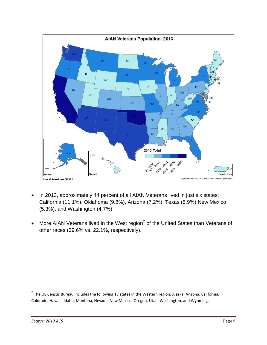

- In 2013, approximately 44 percent of all AIAN Veterans lived in just six states: California (11.1%), Oklahoma (9.8%), Arizona (7.2%), Texas (5.9%) New Mexico (5.3%), and Washington (4.7%).
- More AIAN Veterans lived in the West region<sup>2</sup> of the United States than Veterans of other races (39.6% vs. 22.1%, respectively).

l

.

<sup>&</sup>lt;sup>2</sup> The US Census Bureau includes the following 13 states in the Western region: [Alaska,](http://en.wikipedia.org/wiki/Alaska) [Arizona,](http://en.wikipedia.org/wiki/Arizona) [California,](http://en.wikipedia.org/wiki/California) [Colorado,](http://en.wikipedia.org/wiki/Colorado) [Hawaii,](http://en.wikipedia.org/wiki/Hawaii) [Idaho,](http://en.wikipedia.org/wiki/Idaho) [Montana,](http://en.wikipedia.org/wiki/Montana) [Nevada,](http://en.wikipedia.org/wiki/Nevada) [New Mexico,](http://en.wikipedia.org/wiki/New_Mexico) [Oregon,](http://en.wikipedia.org/wiki/Oregon) [Utah,](http://en.wikipedia.org/wiki/Utah) [Washington,](http://en.wikipedia.org/wiki/Washington_(U.S._state)) an[d Wyoming.](http://en.wikipedia.org/wiki/Wyoming)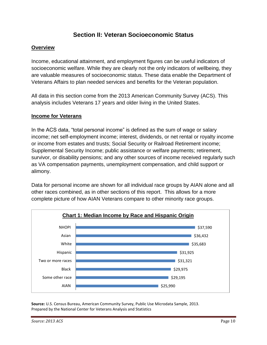# **Section II: Veteran Socioeconomic Status**

#### **Overview**

Income, educational attainment, and employment figures can be useful indicators of socioeconomic welfare. While they are clearly not the only indicators of wellbeing, they are valuable measures of socioeconomic status. These data enable the Department of Veterans Affairs to plan needed services and benefits for the Veteran population.

All data in this section come from the 2013 American Community Survey (ACS). This analysis includes Veterans 17 years and older living in the United States.

#### **Income for Veterans**

In the ACS data, "total personal income" is defined as the sum of wage or salary income; net self-employment income; interest, dividends, or net rental or royalty income or income from estates and trusts; Social Security or Railroad Retirement income; Supplemental Security Income; public assistance or welfare payments; retirement, survivor, or disability pensions; and any other sources of income received regularly such as VA compensation payments, unemployment compensation, and child support or alimony.

Data for personal income are shown for all individual race groups by AIAN alone and all other races combined, as in other sections of this report. This allows for a more complete picture of how AIAN Veterans compare to other minority race groups.



**Source:** U.S. Census Bureau, American Community Survey, Public Use Microdata Sample, 2013. Prepared by the National Center for Veterans Analysis and Statistics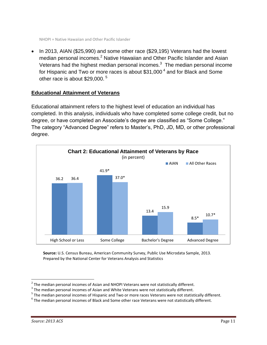• In 2013, AIAN (\$25,990) and some other race (\$29,195) Veterans had the lowest median personal incomes.<sup>2</sup> Native Hawaiian and Other Pacific Islander and Asian Veterans had the highest median personal incomes. $3$  The median personal income for Hispanic and Two or more races is about  $$31,000<sup>4</sup>$  and for Black and Some other race is about \$29,000.<sup>5</sup>

#### **Educational Attainment of Veterans**

Educational attainment refers to the highest level of education an individual has completed. In this analysis, individuals who have completed some college credit, but no degree, or have completed an Associate's degree are classified as "Some College." The category "Advanced Degree" refers to Master's, PhD, JD, MD, or other professional degree.



**Source:** U.S. Census Bureau, American Community Survey, Public Use Microdata Sample, 2013. Prepared by the National Center for Veterans Analysis and Statistics

 2 The median personal incomes of Asian and NHOPI Veterans were not statistically different.

 $3$  The median personal incomes of Asian and White Veterans were not statistically different.

<sup>&</sup>lt;sup>5</sup> The median personal incomes of Hispanic and Two or more races Veterans were not statistically different.

 $^6$  The median personal incomes of Black and Some other race Veterans were not statistically different.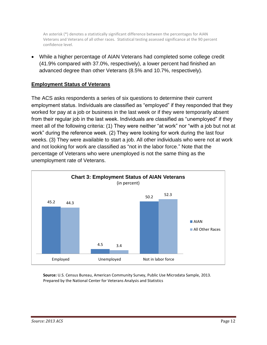An asterisk (\*) denotes a statistically significant difference between the percentages for AIAN Veterans and Veterans of all other races. Statistical testing assessed significance at the 90 percent confidence level.

 While a higher percentage of AIAN Veterans had completed some college credit (41.9% compared with 37.0%, respectively), a lower percent had finished an advanced degree than other Veterans (8.5% and 10.7%, respectively).

#### **Employment Status of Veterans**

The ACS asks respondents a series of six questions to determine their current employment status. Individuals are classified as "employed" if they responded that they worked for pay at a job or business in the last week or if they were temporarily absent from their regular job in the last week. Individuals are classified as "unemployed" if they meet all of the following criteria: (1) They were neither "at work" nor "with a job but not at work" during the reference week. (2) They were looking for work during the last four weeks. (3) They were available to start a job. All other individuals who were not at work and not looking for work are classified as "not in the labor force." Note that the percentage of Veterans who were unemployed is not the same thing as the unemployment rate of Veterans.



**Source:** U.S. Census Bureau, American Community Survey, Public Use Microdata Sample, 2013. Prepared by the National Center for Veterans Analysis and Statistics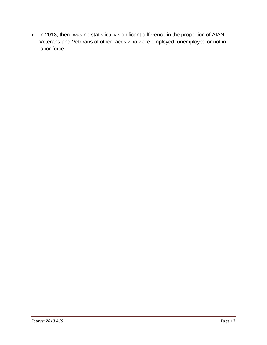• In 2013, there was no statistically significant difference in the proportion of AIAN Veterans and Veterans of other races who were employed, unemployed or not in labor force.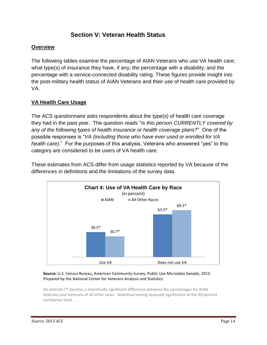# **Section V: Veteran Health Status**

#### **Overview**

The following tables examine the percentage of AIAN Veterans who use VA health care; what type(s) of insurance they have, if any; the percentage with a disability; and the percentage with a service-connected disability rating. These figures provide insight into the post-military health status of AIAN Veterans and their use of health care provided by VA.

#### **VA Health Care Usage**

The ACS questionnaire asks respondents about the type(s) of health care coverage they had in the past year. The question reads "*Is this person CURRENTLY covered by any of the following types of health insurance or health coverage plans?*" One of the possible responses is "*VA (including those who have ever used or enrolled for VA health care).*" For the purposes of this analysis, Veterans who answered "yes" to this category are considered to be users of VA health care.

63.5\* 69.3\* **Chart 4: Use of VA Health Care by Race** (in percent) **AIAN** All Other Races

36.5\*

30.7\*





Use VA Does not use VA

An asterisk (\*) denotes a statistically significant difference between the percentages for AIAN Veterans and Veterans of all other races. Statistical testing assessed significance at the 90 percent confidence level.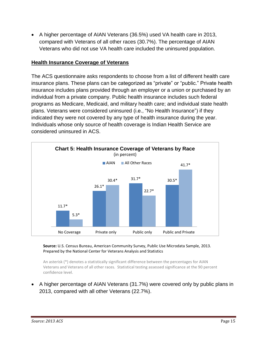A higher percentage of AIAN Veterans (36.5%) used VA health care in 2013, compared with Veterans of all other races (30.7%). The percentage of AIAN Veterans who did not use VA health care included the uninsured population.

#### **Health Insurance Coverage of Veterans**

The ACS questionnaire asks respondents to choose from a list of different health care insurance plans. These plans can be categorized as "private" or "public." Private health insurance includes plans provided through an employer or a union or purchased by an individual from a private company. Public health insurance includes such federal programs as Medicare, Medicaid, and military health care; and individual state health plans. Veterans were considered uninsured (i.e., "No Health Insurance") if they indicated they were not covered by any type of health insurance during the year. Individuals whose only source of health coverage is Indian Health Service are considered uninsured in ACS.



#### **Source:** U.S. Census Bureau, American Community Survey, Public Use Microdata Sample, 2013. Prepared by the National Center for Veterans Analysis and Statistics

An asterisk (\*) denotes a statistically significant difference between the percentages for AIAN Veterans and Veterans of all other races. Statistical testing assessed significance at the 90 percent confidence level.

 A higher percentage of AIAN Veterans (31.7%) were covered only by public plans in 2013, compared with all other Veterans (22.7%).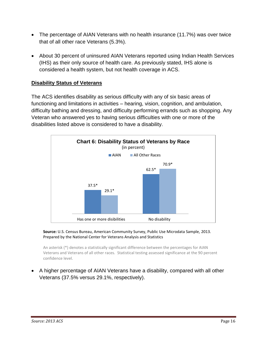- The percentage of AIAN Veterans with no health insurance (11.7%) was over twice that of all other race Veterans (5.3%).
- About 30 percent of uninsured AIAN Veterans reported using Indian Health Services (IHS) as their only source of health care. As previously stated, IHS alone is considered a health system, but not health coverage in ACS.

#### **Disability Status of Veterans**

The ACS identifies disability as serious difficulty with any of six basic areas of functioning and limitations in activities – hearing, vision, cognition, and ambulation, difficulty bathing and dressing, and difficulty performing errands such as shopping. Any Veteran who answered yes to having serious difficulties with one or more of the disabilities listed above is considered to have a disability.



#### **Source:** U.S. Census Bureau, American Community Survey, Public Use Microdata Sample, 2013. Prepared by the National Center for Veterans Analysis and Statistics

An asterisk (\*) denotes a statistically significant difference between the percentages for AIAN Veterans and Veterans of all other races. Statistical testing assessed significance at the 90 percent confidence level.

 A higher percentage of AIAN Veterans have a disability, compared with all other Veterans (37.5% versus 29.1%, respectively).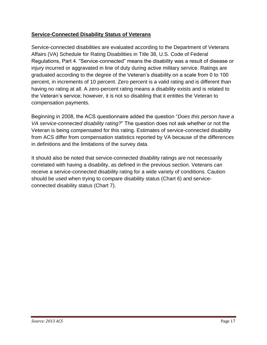### **Service-Connected Disability Status of Veterans**

Service-connected disabilities are evaluated according to the Department of Veterans Affairs (VA) Schedule for Rating Disabilities in Title 38, U.S. Code of Federal Regulations, Part 4. "Service-connected" means the disability was a result of disease or injury incurred or aggravated in line of duty during active military service. Ratings are graduated according to the degree of the Veteran's disability on a scale from 0 to 100 percent, in increments of 10 percent. Zero percent is a valid rating and is different than having no rating at all. A zero-percent rating means a disability exists and is related to the Veteran's service; however, it is not so disabling that it entitles the Veteran to compensation payments.

Beginning in 2008, the ACS questionnaire added the question "*Does this person have a VA service-connected disability rating?*" The question does not ask whether or not the Veteran is being compensated for this rating. Estimates of service-connected disability from ACS differ from compensation statistics reported by VA because of the differences in definitions and the limitations of the survey data.

It should also be noted that service-connected disability ratings are not necessarily correlated with having a disability, as defined in the previous section. Veterans can receive a service-connected disability rating for a wide variety of conditions. Caution should be used when trying to compare disability status (Chart 6) and serviceconnected disability status (Chart 7).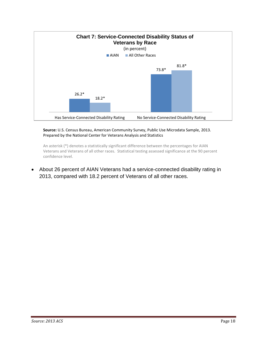

#### **Source:** U.S. Census Bureau, American Community Survey, Public Use Microdata Sample, 2013. Prepared by the National Center for Veterans Analysis and Statistics

An asterisk (\*) denotes a statistically significant difference between the percentages for AIAN Veterans and Veterans of all other races. Statistical testing assessed significance at the 90 percent confidence level.

 About 26 percent of AIAN Veterans had a service-connected disability rating in 2013, compared with 18.2 percent of Veterans of all other races.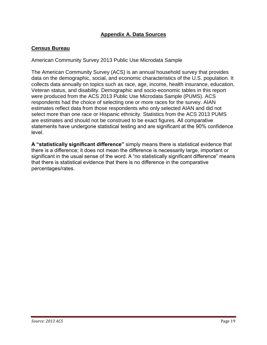### **Appendix A. Data Sources**

#### **Census Bureau**

American Community Survey 2013 Public Use Microdata Sample

The American Community Survey (ACS) is an annual household survey that provides data on the demographic, social, and economic characteristics of the U.S. population. It collects data annually on topics such as race, age, income, health insurance, education, Veteran status, and disability. Demographic and socio-economic tables in this report were produced from the ACS 2013 Public Use Microdata Sample (PUMS). ACS respondents had the choice of selecting one or more races for the survey. AIAN estimates reflect data from those respondents who only selected AIAN and did not select more than one race or Hispanic ethnicity. Statistics from the ACS 2013 PUMS are estimates and should not be construed to be exact figures. All comparative statements have undergone statistical testing and are significant at the 90% confidence level.

**A "statistically significant difference"** simply means there is statistical evidence that there is a difference; it does not mean the difference is necessarily large, important or significant in the usual sense of the word. A "no statistically significant difference" means that there is statistical evidence that there is no difference in the comparative percentages/rates.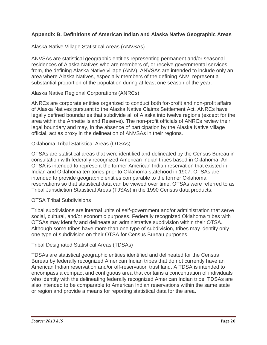#### **Appendix B. Definitions of American Indian and Alaska Native Geographic Areas**

Alaska Native Village Statistical Areas (ANVSAs)

ANVSAs are statistical geographic entities representing permanent and/or seasonal residences of Alaska Natives who are members of, or receive governmental services from, the defining Alaska Native village (ANV). ANVSAs are intended to include only an area where Alaska Natives, especially members of the defining ANV, represent a substantial proportion of the population during at least one season of the year.

Alaska Native Regional Corporations (ANRCs)

ANRCs are corporate entities organized to conduct both for-profit and non-profit affairs of Alaska Natives pursuant to the Alaska Native Claims Settlement Act. ANRCs have legally defined boundaries that subdivide all of Alaska into twelve regions (except for the area within the Annette Island Reserve). The non-profit officials of ANRCs review their legal boundary and may, in the absence of participation by the Alaska Native village official, act as proxy in the delineation of ANVSAs in their regions.

#### Oklahoma Tribal Statistical Areas (OTSAs)

OTSAs are statistical areas that were identified and delineated by the Census Bureau in consultation with federally recognized American Indian tribes based in Oklahoma. An OTSA is intended to represent the former American Indian reservation that existed in Indian and Oklahoma territories prior to Oklahoma statehood in 1907. OTSAs are intended to provide geographic entities comparable to the former Oklahoma reservations so that statistical data can be viewed over time. OTSAs were referred to as Tribal Jurisdiction Statistical Areas (TJSAs) in the 1990 Census data products.

#### OTSA Tribal Subdivisions

Tribal subdivisions are internal units of self-government and/or administration that serve social, cultural, and/or economic purposes. Federally recognized Oklahoma tribes with OTSAs may identify and delineate an administrative subdivision within their OTSA. Although some tribes have more than one type of subdivision, tribes may identify only one type of subdivision on their OTSA for Census Bureau purposes.

#### Tribal Designated Statistical Areas (TDSAs)

TDSAs are statistical geographic entities identified and delineated for the Census Bureau by federally recognized American Indian tribes that do not currently have an American Indian reservation and/or off-reservation trust land. A TDSA is intended to encompass a compact and contiguous area that contains a concentration of individuals who identify with the delineating federally recognized American Indian tribe. TDSAs are also intended to be comparable to American Indian reservations within the same state or region and provide a means for reporting statistical data for the area.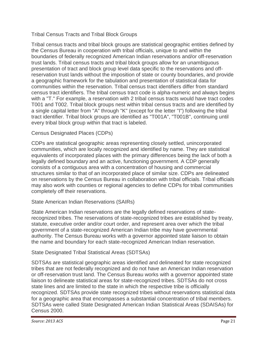#### Tribal Census Tracts and Tribal Block Groups

Tribal census tracts and tribal block groups are statistical geographic entities defined by the Census Bureau in cooperation with tribal officials, unique to and within the boundaries of federally recognized American Indian reservations and/or off-reservation trust lands. Tribal census tracts and tribal block groups allow for an unambiguous presentation of tract and block group level data specific to the reservations and offreservation trust lands without the imposition of state or county boundaries, and provide a geographic framework for the tabulation and presentation of statistical data for communities within the reservation. Tribal census tract identifiers differ from standard census tract identifiers. The tribal census tract code is alpha-numeric and always begins with a "T." For example, a reservation with 2 tribal census tracts would have tract codes T001 and T002. Tribal block groups nest within tribal census tracts and are identified by a single capital letter from "A" through "K" (except for the letter "I") following the tribal tract identifier. Tribal block groups are identified as "T001A", "T001B", continuing until every tribal block group within that tract is labeled.

#### Census Designated Places (CDPs)

CDPs are statistical geographic areas representing closely settled, unincorporated communities, which are locally recognized and identified by name. They are statistical equivalents of incorporated places with the primary differences being the lack of both a legally defined boundary and an active, functioning government. A CDP generally consists of a contiguous area with a concentration of housing and commercial structures similar to that of an incorporated place of similar size. CDPs are delineated on reservations by the Census Bureau in collaboration with tribal officials. Tribal officials may also work with counties or regional agencies to define CDPs for tribal communities completely off their reservations.

#### State American Indian Reservations (SAIRs)

State American Indian reservations are the legally defined reservations of staterecognized tribes. The reservations of state-recognized tribes are established by treaty, statute, executive order and/or court order, and represent area over which the tribal government of a state-recognized American Indian tribe may have governmental authority. The Census Bureau works with a governor appointed state liaison to obtain the name and boundary for each state-recognized American Indian reservation.

#### State Designated Tribal Statistical Areas (SDTSAs)

SDTSAs are statistical geographic areas identified and delineated for state recognized tribes that are not federally recognized and do not have an American Indian reservation or off-reservation trust land. The Census Bureau works with a governor appointed state liaison to delineate statistical areas for state-recognized tribes. SDTSAs do not cross state lines and are limited to the state in which the respective tribe is officially recognized. SDTSAs provide state recognized tribes without reservations statistical data for a geographic area that encompasses a substantial concentration of tribal members. SDTSAs were called State Designated American Indian Statistical Areas (SDAISAs) for Census 2000.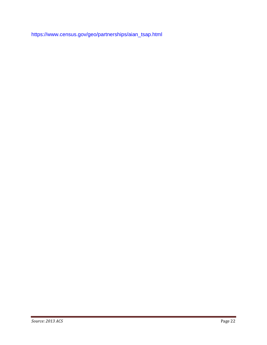[https://www.census.gov/geo/partnerships/aian\\_tsap.html](https://www.census.gov/geo/partnerships/aian_tsap.html)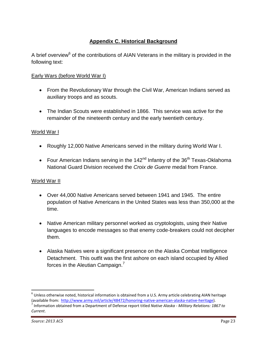# **Appendix C. Historical Background**

A brief overview<sup>6</sup> of the contributions of AIAN Veterans in the military is provided in the following text:

#### Early Wars (before World War I)

- From the Revolutionary War through the Civil War, American Indians served as auxiliary troops and as scouts.
- The Indian Scouts were established in 1866. This service was active for the remainder of the nineteenth century and the early twentieth century.

#### World War I

- Roughly 12,000 Native Americans served in the military during World War I.
- Four American Indians serving in the  $142<sup>nd</sup>$  Infantry of the 36<sup>th</sup> Texas-Oklahoma National Guard Division received the *Croix de Guerre* medal from France.

#### World War II

- Over 44,000 Native Americans served between 1941 and 1945. The entire population of Native Americans in the United States was less than 350,000 at the time.
- Native American military personnel worked as cryptologists, using their Native languages to encode messages so that enemy code-breakers could not decipher them.
- Alaska Natives were a significant presence on the Alaska Combat Intelligence Detachment. This outfit was the first ashore on each island occupied by Allied forces in the Aleutian Campaign. $<sup>7</sup>$ </sup>

 $\overline{a}$ 

 $^6$  Unless otherwise noted, historical information is obtained from a U.S. Army article celebrating AIAN heritage (available from: [http://www.army.mil/article/48472/honoring-native-american-alaska-native-heritage\)](http://www.army.mil/article/48472/honoring-native-american-alaska-native-heritage).

<sup>7</sup> Information obtained from a Department of Defense report titled *Native Alaska - Military Relations: 1867 to Current*.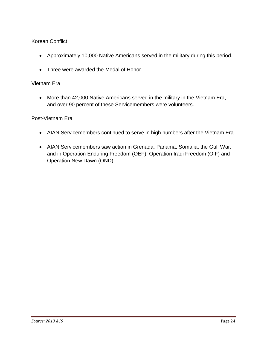#### Korean Conflict

- Approximately 10,000 Native Americans served in the military during this period.
- Three were awarded the Medal of Honor.

#### Vietnam Era

 More than 42,000 Native Americans served in the military in the Vietnam Era, and over 90 percent of these Servicemembers were volunteers.

#### Post-Vietnam Era

- AIAN Servicemembers continued to serve in high numbers after the Vietnam Era.
- AIAN Servicemembers saw action in Grenada, Panama, Somalia, the Gulf War, and in Operation Enduring Freedom (OEF), Operation Iraqi Freedom (OIF) and Operation New Dawn (OND).